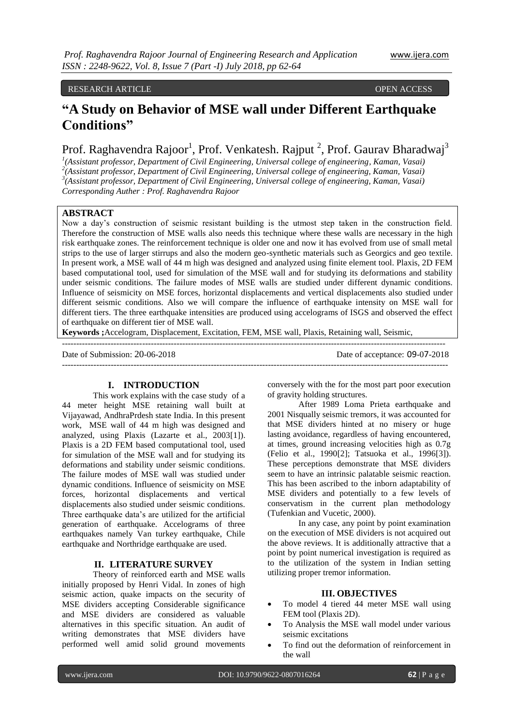## RESEARCH ARTICLE OPEN ACCESS

# **"A Study on Behavior of MSE wall under Different Earthquake Conditions"**

Prof. Raghavendra Rajoor<sup>1</sup>, Prof. Venkatesh. Rajput<sup>2</sup>, Prof. Gaurav Bharadwaj<sup>3</sup>

 *(Assistant professor, Department of Civil Engineering, Universal college of engineering, Kaman, Vasai) (Assistant professor, Department of Civil Engineering, Universal college of engineering, Kaman, Vasai) (Assistant professor, Department of Civil Engineering, Universal college of engineering, Kaman, Vasai) Corresponding Auther : Prof. Raghavendra Rajoor*

## **ABSTRACT**

Now a day's construction of seismic resistant building is the utmost step taken in the construction field. Therefore the construction of MSE walls also needs this technique where these walls are necessary in the high risk earthquake zones. The reinforcement technique is older one and now it has evolved from use of small metal strips to the use of larger stirrups and also the modern geo-synthetic materials such as Georgics and geo textile. In present work, a MSE wall of 44 m high was designed and analyzed using finite element tool. Plaxis, 2D FEM based computational tool, used for simulation of the MSE wall and for studying its deformations and stability under seismic conditions. The failure modes of MSE walls are studied under different dynamic conditions. Influence of seismicity on MSE forces, horizontal displacements and vertical displacements also studied under different seismic conditions. Also we will compare the influence of earthquake intensity on MSE wall for different tiers. The three earthquake intensities are produced using accelograms of ISGS and observed the effect of earthquake on different tier of MSE wall.

**Keywords ;**Accelogram, Displacement, Excitation, FEM, MSE wall, Plaxis, Retaining wall, Seismic,

--------------------------------------------------------------------------------------------------------------------------------------

---------------------------------------------------------------------------------------------------------------------------------------

Date of Submission: 20-06-2018 Date of acceptance: 09-07-2018

#### **I. INTRODUCTION**

This work explains with the case study of a 44 meter height MSE retaining wall built at Vijayawad, AndhraPrdesh state India. In this present work, MSE wall of 44 m high was designed and analyzed, using Plaxis (Lazarte et al., 2003[1]). Plaxis is a 2D FEM based computational tool, used for simulation of the MSE wall and for studying its deformations and stability under seismic conditions. The failure modes of MSE wall was studied under dynamic conditions. Influence of seismicity on MSE forces, horizontal displacements and vertical displacements also studied under seismic conditions. Three earthquake data's are utilized for the artificial generation of earthquake. Accelograms of three earthquakes namely Van turkey earthquake, Chile earthquake and Northridge earthquake are used.

#### **II. LITERATURE SURVEY**

Theory of reinforced earth and MSE walls initially proposed by Henri Vidal. In zones of high seismic action, quake impacts on the security of MSE dividers accepting Considerable significance and MSE dividers are considered as valuable alternatives in this specific situation. An audit of writing demonstrates that MSE dividers have performed well amid solid ground movements

conversely with the for the most part poor execution of gravity holding structures.

After 1989 Loma Prieta earthquake and 2001 Nisqually seismic tremors, it was accounted for that MSE dividers hinted at no misery or huge lasting avoidance, regardless of having encountered, at times, ground increasing velocities high as 0.7g (Felio et al., 1990[2]; Tatsuoka et al., 1996[3]). These perceptions demonstrate that MSE dividers seem to have an intrinsic palatable seismic reaction. This has been ascribed to the inborn adaptability of MSE dividers and potentially to a few levels of conservatism in the current plan methodology (Tufenkian and Vucetic, 2000).

In any case, any point by point examination on the execution of MSE dividers is not acquired out the above reviews. It is additionally attractive that a point by point numerical investigation is required as to the utilization of the system in Indian setting utilizing proper tremor information.

## **III. OBJECTIVES**

- To model 4 tiered 44 meter MSE wall using FEM tool (Plaxis 2D).
- To Analysis the MSE wall model under various seismic excitations
- To find out the deformation of reinforcement in the wall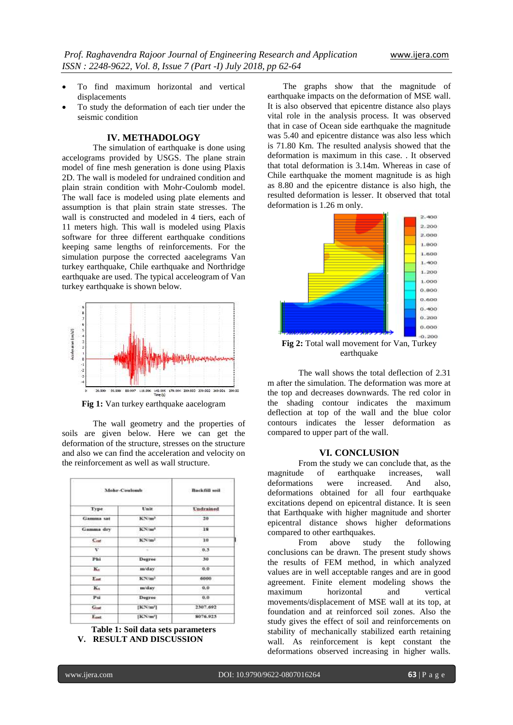- To find maximum horizontal and vertical displacements
- To study the deformation of each tier under the seismic condition

## **IV. METHADOLOGY**

The simulation of earthquake is done using accelograms provided by USGS. The plane strain model of fine mesh generation is done using Plaxis 2D. The wall is modeled for undrained condition and plain strain condition with Mohr-Coulomb model. The wall face is modeled using plate elements and assumption is that plain strain state stresses. The wall is constructed and modeled in 4 tiers, each of 11 meters high. This wall is modeled using Plaxis software for three different earthquake conditions keeping same lengths of reinforcements. For the simulation purpose the corrected aacelegrams Van turkey earthquake, Chile earthquake and Northridge earthquake are used. The typical acceleogram of Van turkey earthquake is shown below.



**Fig 1:** Van turkey earthquake aacelogram

The wall geometry and the properties of soils are given below. Here we can get the deformation of the structure, stresses on the structure and also we can find the acceleration and velocity on the reinforcement as well as wall structure.

| Mohr-Coulomb     |                      | Backfill soil |
|------------------|----------------------|---------------|
| Type.            | Unit                 | Undrained     |
| Gamma sat        | KN/m <sup>3</sup>    | 20            |
| Gamma dry        | KN/m <sup>1</sup>    | 18            |
| C <sub>rad</sub> | KN/m2                | 10            |
| v                |                      | 0.3           |
| Phi              | Degree               | 30            |
| Kx               | m/day                | 0,0           |
| Emt              | KN/m <sup>2</sup>    | 6000          |
| K.               | m/day                | 0.0           |
| Psi              | Degree               | 0.0           |
| $G_{\text{ref}}$ | [KN/m <sup>r</sup> ] | 2307.692      |
| E <sub>ast</sub> | $[KN/m^2]$           | 8076.923      |

**Table 1: Soil data sets parameters V. RESULT AND DISCUSSION**

The graphs show that the magnitude of earthquake impacts on the deformation of MSE wall. It is also observed that epicentre distance also plays vital role in the analysis process. It was observed that in case of Ocean side earthquake the magnitude was 5.40 and epicentre distance was also less which is 71.80 Km. The resulted analysis showed that the deformation is maximum in this case. . It observed that total deformation is 3.14m. Whereas in case of Chile earthquake the moment magnitude is as high as 8.80 and the epicentre distance is also high, the resulted deformation is lesser. It observed that total deformation is 1.26 m only.



earthquake

The wall shows the total deflection of 2.31 m after the simulation. The deformation was more at the top and decreases downwards. The red color in the shading contour indicates the maximum deflection at top of the wall and the blue color contours indicates the lesser deformation as compared to upper part of the wall.

#### **VI. CONCLUSION**

From the study we can conclude that, as the magnitude of earthquake increases, wall deformations were increased. And also, deformations obtained for all four earthquake excitations depend on epicentral distance. It is seen that Earthquake with higher magnitude and shorter epicentral distance shows higher deformations compared to other earthquakes.

From above study the following conclusions can be drawn. The present study shows the results of FEM method, in which analyzed values are in well acceptable ranges and are in good agreement. Finite element modeling shows the maximum horizontal and vertical movements/displacement of MSE wall at its top, at foundation and at reinforced soil zones. Also the study gives the effect of soil and reinforcements on stability of mechanically stabilized earth retaining wall. As reinforcement is kept constant the deformations observed increasing in higher walls.